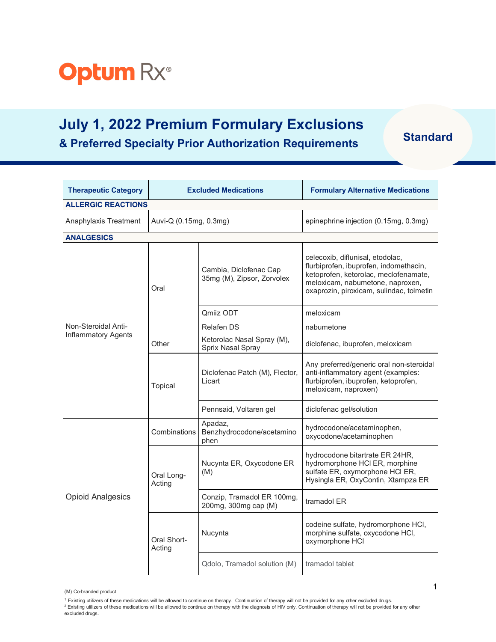

## **July 1, 2022 Premium Formulary Exclusions & Preferred Specialty Prior Authorization Requirements Standard**

| <b>Therapeutic Category</b> |                        | <b>Excluded Medications</b>                          | <b>Formulary Alternative Medications</b>                                                                                                                                                            |
|-----------------------------|------------------------|------------------------------------------------------|-----------------------------------------------------------------------------------------------------------------------------------------------------------------------------------------------------|
| <b>ALLERGIC REACTIONS</b>   |                        |                                                      |                                                                                                                                                                                                     |
| Anaphylaxis Treatment       | Auvi-Q (0.15mg, 0.3mg) |                                                      | epinephrine injection (0.15mg, 0.3mg)                                                                                                                                                               |
| <b>ANALGESICS</b>           |                        |                                                      |                                                                                                                                                                                                     |
|                             | Oral                   | Cambia, Diclofenac Cap<br>35mg (M), Zipsor, Zorvolex | celecoxib, diflunisal, etodolac,<br>flurbiprofen, ibuprofen, indomethacin,<br>ketoprofen, ketorolac, meclofenamate,<br>meloxicam, nabumetone, naproxen,<br>oxaprozin, piroxicam, sulindac, tolmetin |
|                             |                        | Qmiiz ODT                                            | meloxicam                                                                                                                                                                                           |
| Non-Steroidal Anti-         |                        | <b>Relafen DS</b>                                    | nabumetone                                                                                                                                                                                          |
| <b>Inflammatory Agents</b>  | Other                  | Ketorolac Nasal Spray (M),<br>Sprix Nasal Spray      | diclofenac, ibuprofen, meloxicam                                                                                                                                                                    |
|                             | Topical                | Diclofenac Patch (M), Flector,<br>Licart             | Any preferred/generic oral non-steroidal<br>anti-inflammatory agent (examples:<br>flurbiprofen, ibuprofen, ketoprofen,<br>meloxicam, naproxen)                                                      |
|                             |                        | Pennsaid, Voltaren gel                               | diclofenac gel/solution                                                                                                                                                                             |
| <b>Opioid Analgesics</b>    | Combinations           | Apadaz,<br>Benzhydrocodone/acetamino<br>phen         | hydrocodone/acetaminophen,<br>oxycodone/acetaminophen                                                                                                                                               |
|                             | Oral Long-<br>Acting   | Nucynta ER, Oxycodone ER<br>(M)                      | hydrocodone bitartrate ER 24HR,<br>hydromorphone HCI ER, morphine<br>sulfate ER, oxymorphone HCI ER,<br>Hysingla ER, OxyContin, Xtampza ER                                                          |
|                             |                        | Conzip, Tramadol ER 100mg,<br>200mg, 300mg cap (M)   | tramadol ER                                                                                                                                                                                         |
|                             | Oral Short-<br>Acting  | Nucynta                                              | codeine sulfate, hydromorphone HCI,<br>morphine sulfate, oxycodone HCl,<br>oxymorphone HCI                                                                                                          |
|                             |                        | Qdolo, Tramadol solution (M)                         | tramadol tablet                                                                                                                                                                                     |

<sup>(</sup>M) Co-branded product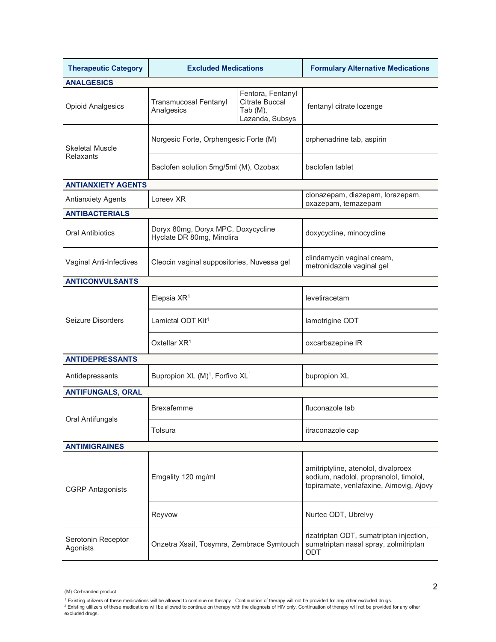| <b>Therapeutic Category</b>    | <b>Excluded Medications</b>                                     |                                                                           | <b>Formulary Alternative Medications</b>                                                                                 |  |
|--------------------------------|-----------------------------------------------------------------|---------------------------------------------------------------------------|--------------------------------------------------------------------------------------------------------------------------|--|
| <b>ANALGESICS</b>              |                                                                 |                                                                           |                                                                                                                          |  |
| <b>Opioid Analgesics</b>       | <b>Transmucosal Fentanyl</b><br>Analgesics                      | Fentora, Fentanyl<br><b>Citrate Buccal</b><br>Tab (M),<br>Lazanda, Subsys | fentanyl citrate lozenge                                                                                                 |  |
| <b>Skeletal Muscle</b>         | Norgesic Forte, Orphengesic Forte (M)                           |                                                                           | orphenadrine tab, aspirin                                                                                                |  |
| Relaxants                      | Baclofen solution 5mg/5ml (M), Ozobax                           |                                                                           | baclofen tablet                                                                                                          |  |
| <b>ANTIANXIETY AGENTS</b>      |                                                                 |                                                                           |                                                                                                                          |  |
| <b>Antianxiety Agents</b>      | Loreev XR                                                       |                                                                           | clonazepam, diazepam, lorazepam,<br>oxazepam, temazepam                                                                  |  |
| <b>ANTIBACTERIALS</b>          |                                                                 |                                                                           |                                                                                                                          |  |
| <b>Oral Antibiotics</b>        | Doryx 80mg, Doryx MPC, Doxycycline<br>Hyclate DR 80mg, Minolira |                                                                           | doxycycline, minocycline                                                                                                 |  |
| Vaginal Anti-Infectives        | Cleocin vaginal suppositories, Nuvessa gel                      |                                                                           | clindamycin vaginal cream,<br>metronidazole vaginal gel                                                                  |  |
| <b>ANTICONVULSANTS</b>         |                                                                 |                                                                           |                                                                                                                          |  |
|                                | Elepsia XR <sup>1</sup>                                         |                                                                           | levetiracetam                                                                                                            |  |
| Seizure Disorders              | Lamictal ODT Kit <sup>1</sup>                                   |                                                                           | lamotrigine ODT                                                                                                          |  |
|                                | Oxtellar XR <sup>1</sup>                                        |                                                                           | oxcarbazepine IR                                                                                                         |  |
| <b>ANTIDEPRESSANTS</b>         |                                                                 |                                                                           |                                                                                                                          |  |
| Antidepressants                | Bupropion XL (M) <sup>1</sup> , Forfivo XL <sup>1</sup>         |                                                                           | bupropion XL                                                                                                             |  |
| <b>ANTIFUNGALS, ORAL</b>       |                                                                 |                                                                           |                                                                                                                          |  |
| Oral Antifungals               | <b>Brexafemme</b>                                               |                                                                           | fluconazole tab                                                                                                          |  |
|                                | Tolsura                                                         |                                                                           | itraconazole cap                                                                                                         |  |
| <b>ANTIMIGRAINES</b>           |                                                                 |                                                                           |                                                                                                                          |  |
| <b>CGRP</b> Antagonists        | Emgality 120 mg/ml                                              |                                                                           | amitriptyline, atenolol, divalproex<br>sodium, nadolol, propranolol, timolol,<br>topiramate, venlafaxine, Aimovig, Ajovy |  |
|                                | Reyvow                                                          |                                                                           | Nurtec ODT, Ubrelvy                                                                                                      |  |
| Serotonin Receptor<br>Agonists | Onzetra Xsail, Tosymra, Zembrace Symtouch                       |                                                                           | rizatriptan ODT, sumatriptan injection,<br>sumatriptan nasal spray, zolmitriptan<br>ODT                                  |  |

<sup>(</sup>M) Co-branded product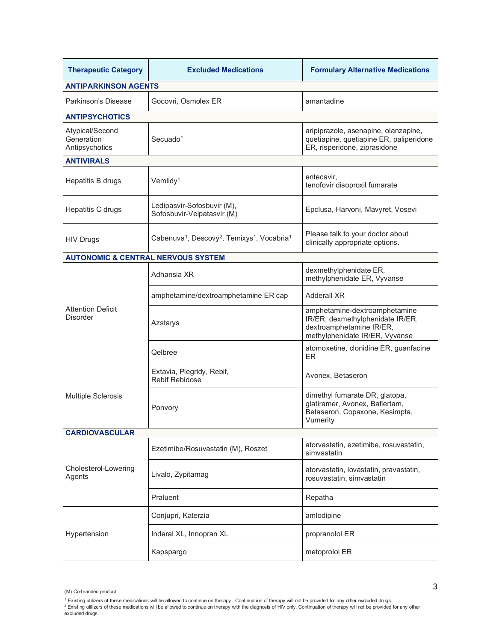| <b>Therapeutic Category</b>                     | <b>Excluded Medications</b>                                                                 | <b>Formulary Alternative Medications</b>                                                                                        |  |
|-------------------------------------------------|---------------------------------------------------------------------------------------------|---------------------------------------------------------------------------------------------------------------------------------|--|
| <b>ANTIPARKINSON AGENTS</b>                     |                                                                                             |                                                                                                                                 |  |
| <b>Parkinson's Disease</b>                      | Gocovri, Osmolex ER<br>amantadine                                                           |                                                                                                                                 |  |
| <b>ANTIPSYCHOTICS</b>                           |                                                                                             |                                                                                                                                 |  |
| Atypical/Second<br>Generation<br>Antipsychotics | Secuado <sup>1</sup>                                                                        | aripiprazole, asenapine, olanzapine,<br>quetiapine, quetiapine ER, paliperidone<br>ER, risperidone, ziprasidone                 |  |
| <b>ANTIVIRALS</b>                               |                                                                                             |                                                                                                                                 |  |
| Hepatitis B drugs                               | Vemlidy <sup>1</sup>                                                                        | entecavir,<br>tenofovir disoproxil fumarate                                                                                     |  |
| Hepatitis C drugs                               | Ledipasvir-Sofosbuvir (M),<br>Sofosbuvir-Velpatasvir (M)                                    | Epclusa, Harvoni, Mavyret, Vosevi                                                                                               |  |
| <b>HIV Drugs</b>                                | Cabenuva <sup>1</sup> , Descovy <sup>2</sup> , Temixys <sup>1</sup> , Vocabria <sup>1</sup> | Please talk to your doctor about<br>clinically appropriate options.                                                             |  |
| <b>AUTONOMIC &amp; CENTRAL NERVOUS SYSTEM</b>   |                                                                                             |                                                                                                                                 |  |
|                                                 | Adhansia XR                                                                                 | dexmethylphenidate ER,<br>methylphenidate ER, Vyvanse                                                                           |  |
|                                                 | amphetamine/dextroamphetamine ER cap                                                        | <b>Adderall XR</b>                                                                                                              |  |
| <b>Attention Deficit</b><br><b>Disorder</b>     | Azstarys                                                                                    | amphetamine-dextroamphetamine<br>IR/ER, dexmethylphenidate IR/ER,<br>dextroamphetamine IR/ER,<br>methylphenidate IR/ER, Vyvanse |  |
|                                                 | Qelbree                                                                                     | atomoxetine, clonidine ER, guanfacine<br><b>ER</b>                                                                              |  |
| Multiple Sclerosis                              | Extavia, Plegridy, Rebif,<br><b>Rebif Rebidose</b>                                          | Avonex, Betaseron                                                                                                               |  |
|                                                 | Ponvory                                                                                     | dimethyl fumarate DR, glatopa,<br>glatiramer, Avonex, Bafiertam,<br>Betaseron, Copaxone, Kesimpta,<br>Vumerity                  |  |
| <b>CARDIOVASCULAR</b>                           |                                                                                             |                                                                                                                                 |  |
|                                                 | Ezetimibe/Rosuvastatin (M), Roszet                                                          | atorvastatin, ezetimibe, rosuvastatin,<br>simvastatin                                                                           |  |
| Cholesterol-Lowering<br>Agents                  | Livalo, Zypitamag                                                                           | atorvastatin, lovastatin, pravastatin,<br>rosuvastatin, simvastatin                                                             |  |
|                                                 | Praluent                                                                                    | Repatha                                                                                                                         |  |
|                                                 | Conjupri, Katerzia                                                                          | amlodipine                                                                                                                      |  |
| Hypertension                                    | Inderal XL, Innopran XL                                                                     | propranolol ER                                                                                                                  |  |
|                                                 | Kapspargo                                                                                   | metoprolol ER                                                                                                                   |  |

<sup>(</sup>M) Co-branded product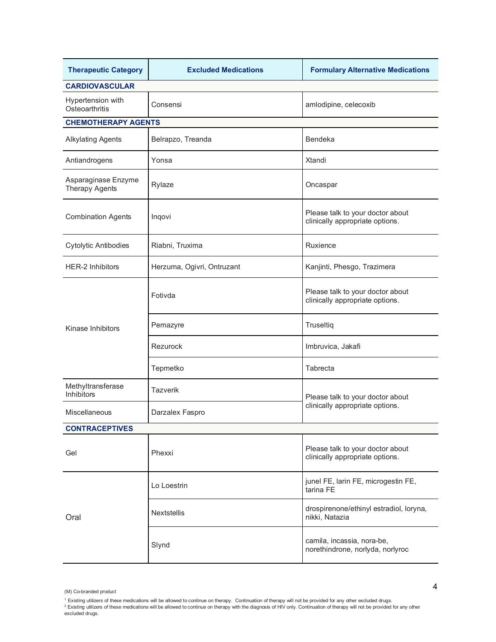| <b>Therapeutic Category</b>            | <b>Excluded Medications</b> | <b>Formulary Alternative Medications</b>                            |  |
|----------------------------------------|-----------------------------|---------------------------------------------------------------------|--|
| <b>CARDIOVASCULAR</b>                  |                             |                                                                     |  |
| Hypertension with<br>Osteoarthritis    | Consensi                    | amlodipine, celecoxib                                               |  |
| <b>CHEMOTHERAPY AGENTS</b>             |                             |                                                                     |  |
| <b>Alkylating Agents</b>               | Belrapzo, Treanda           | <b>Bendeka</b>                                                      |  |
| Antiandrogens                          | Yonsa                       | Xtandi                                                              |  |
| Asparaginase Enzyme<br>Therapy Agents  | Rylaze                      | Oncaspar                                                            |  |
| <b>Combination Agents</b>              | Inqovi                      | Please talk to your doctor about<br>clinically appropriate options. |  |
| <b>Cytolytic Antibodies</b>            | Riabni, Truxima             | Ruxience                                                            |  |
| <b>HER-2 Inhibitors</b>                | Herzuma, Ogivri, Ontruzant  | Kanjinti, Phesgo, Trazimera                                         |  |
|                                        | Fotivda                     | Please talk to your doctor about<br>clinically appropriate options. |  |
| Kinase Inhibitors                      | Pemazyre                    | Truseltiq                                                           |  |
|                                        | Rezurock                    | Imbruvica, Jakafi                                                   |  |
|                                        | Tepmetko                    | Tabrecta                                                            |  |
| Methyltransferase<br><b>Inhibitors</b> | Tazverik                    | Please talk to your doctor about                                    |  |
| Miscellaneous                          | Darzalex Faspro             | clinically appropriate options.                                     |  |
| <b>CONTRACEPTIVES</b>                  |                             |                                                                     |  |
| Gel                                    | Phexxi                      | Please talk to your doctor about<br>clinically appropriate options. |  |
| Oral                                   | Lo Loestrin                 | junel FE, larin FE, microgestin FE,<br>tarina FE                    |  |
|                                        | Nextstellis                 | drospirenone/ethinyl estradiol, loryna,<br>nikki, Natazia           |  |
|                                        | Slynd                       | camila, incassia, nora-be,<br>norethindrone, norlyda, norlyroc      |  |

<sup>(</sup>M) Co-branded product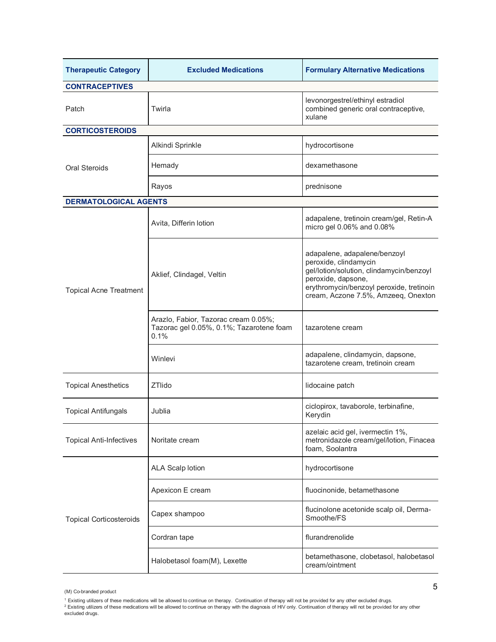| <b>Therapeutic Category</b>    | <b>Excluded Medications</b>                                                              | <b>Formulary Alternative Medications</b>                                                                                                                                                                   |  |  |
|--------------------------------|------------------------------------------------------------------------------------------|------------------------------------------------------------------------------------------------------------------------------------------------------------------------------------------------------------|--|--|
| <b>CONTRACEPTIVES</b>          |                                                                                          |                                                                                                                                                                                                            |  |  |
| Patch                          | Twirla                                                                                   | levonorgestrel/ethinyl estradiol<br>combined generic oral contraceptive,<br>xulane                                                                                                                         |  |  |
| <b>CORTICOSTEROIDS</b>         |                                                                                          |                                                                                                                                                                                                            |  |  |
|                                | Alkindi Sprinkle                                                                         | hydrocortisone                                                                                                                                                                                             |  |  |
| Oral Steroids                  | Hemady                                                                                   | dexamethasone                                                                                                                                                                                              |  |  |
|                                | Rayos                                                                                    | prednisone                                                                                                                                                                                                 |  |  |
| <b>DERMATOLOGICAL AGENTS</b>   |                                                                                          |                                                                                                                                                                                                            |  |  |
|                                | Avita, Differin lotion                                                                   | adapalene, tretinoin cream/gel, Retin-A<br>micro gel 0.06% and 0.08%                                                                                                                                       |  |  |
| <b>Topical Acne Treatment</b>  | Aklief, Clindagel, Veltin                                                                | adapalene, adapalene/benzoyl<br>peroxide, clindamycin<br>gel/lotion/solution, clindamycin/benzoyl<br>peroxide, dapsone,<br>erythromycin/benzoyl peroxide, tretinoin<br>cream, Aczone 7.5%, Amzeeq, Onexton |  |  |
|                                | Arazlo, Fabior, Tazorac cream 0.05%;<br>Tazorac gel 0.05%, 0.1%; Tazarotene foam<br>0.1% | tazarotene cream                                                                                                                                                                                           |  |  |
|                                | Winlevi                                                                                  | adapalene, clindamycin, dapsone,<br>tazarotene cream, tretinoin cream                                                                                                                                      |  |  |
| <b>Topical Anesthetics</b>     | <b>ZTlido</b>                                                                            | lidocaine patch                                                                                                                                                                                            |  |  |
| <b>Topical Antifungals</b>     | Jublia                                                                                   | ciclopirox, tavaborole, terbinafine,<br>Kerydin                                                                                                                                                            |  |  |
| <b>Topical Anti-Infectives</b> | Noritate cream                                                                           | azelaic acid gel, ivermectin 1%,<br>metronidazole cream/gel/lotion, Finacea<br>foam, Soolantra                                                                                                             |  |  |
|                                | <b>ALA Scalp lotion</b>                                                                  | hydrocortisone                                                                                                                                                                                             |  |  |
|                                | Apexicon E cream                                                                         | fluocinonide, betamethasone                                                                                                                                                                                |  |  |
| <b>Topical Corticosteroids</b> | Capex shampoo                                                                            | flucinolone acetonide scalp oil, Derma-<br>Smoothe/FS                                                                                                                                                      |  |  |
|                                | Cordran tape                                                                             | flurandrenolide                                                                                                                                                                                            |  |  |
|                                | Halobetasol foam(M), Lexette                                                             | betamethasone, clobetasol, halobetasol<br>cream/ointment                                                                                                                                                   |  |  |

<sup>(</sup>M) Co-branded product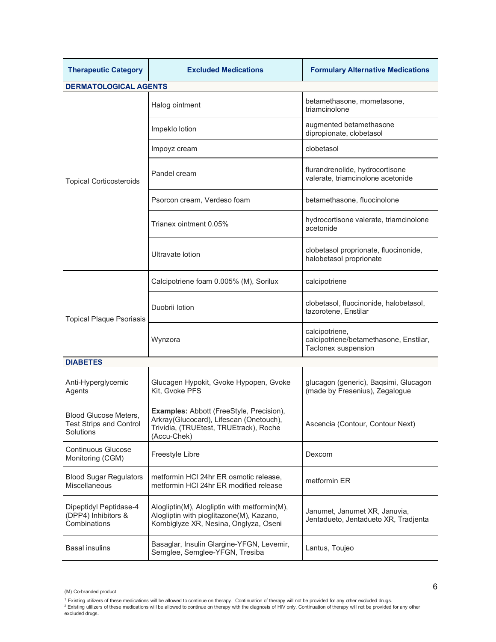| <b>Therapeutic Category</b>                                   | <b>Excluded Medications</b>                                                                                                                  | <b>Formulary Alternative Medications</b>                                        |  |
|---------------------------------------------------------------|----------------------------------------------------------------------------------------------------------------------------------------------|---------------------------------------------------------------------------------|--|
| <b>DERMATOLOGICAL AGENTS</b>                                  |                                                                                                                                              |                                                                                 |  |
|                                                               | Halog ointment                                                                                                                               | betamethasone, mometasone,<br>triamcinolone                                     |  |
|                                                               | Impeklo lotion                                                                                                                               | augmented betamethasone<br>dipropionate, clobetasol                             |  |
|                                                               | Impoyz cream                                                                                                                                 | clobetasol                                                                      |  |
| <b>Topical Corticosteroids</b>                                | Pandel cream                                                                                                                                 | flurandrenolide, hydrocortisone<br>valerate, triamcinolone acetonide            |  |
|                                                               | Psorcon cream, Verdeso foam                                                                                                                  | betamethasone, fluocinolone                                                     |  |
|                                                               | Trianex ointment 0.05%                                                                                                                       | hydrocortisone valerate, triamcinolone<br>acetonide                             |  |
|                                                               | Ultravate lotion                                                                                                                             | clobetasol proprionate, fluocinonide,<br>halobetasol proprionate                |  |
| <b>Topical Plaque Psoriasis</b>                               | Calcipotriene foam 0.005% (M), Sorilux                                                                                                       | calcipotriene                                                                   |  |
|                                                               | Duobrii lotion                                                                                                                               | clobetasol, fluocinonide, halobetasol,<br>tazorotene, Enstilar                  |  |
|                                                               | Wynzora                                                                                                                                      | calcipotriene,<br>calcipotriene/betamethasone, Enstilar,<br>Taclonex suspension |  |
| <b>DIABETES</b>                                               |                                                                                                                                              |                                                                                 |  |
| Anti-Hyperglycemic<br>Agents                                  | Glucagen Hypokit, Gvoke Hypopen, Gvoke<br>Kit, Gvoke PFS                                                                                     | glucagon (generic), Baqsimi, Glucagon<br>(made by Fresenius), Zegalogue         |  |
| Blood Glucose Meters,<br>Test Strips and Control<br>Solutions | Examples: Abbott (FreeStyle, Precision),<br>Arkray(Glucocard), Lifescan (Onetouch),<br>Trividia, (TRUEtest, TRUEtrack), Roche<br>(Accu-Chek) | Ascencia (Contour, Contour Next)                                                |  |
| <b>Continuous Glucose</b><br>Monitoring (CGM)                 | Freestyle Libre                                                                                                                              | Dexcom                                                                          |  |
| <b>Blood Sugar Regulators</b><br>Miscellaneous                | metformin HCI 24hr ER osmotic release,<br>metformin HCI 24hr ER modified release                                                             | metformin ER                                                                    |  |
| Dipeptidyl Peptidase-4<br>(DPP4) Inhibitors &<br>Combinations | Alogliptin(M), Alogliptin with metformin(M),<br>Alogliptin with pioglitazone(M), Kazano,<br>Kombiglyze XR, Nesina, Onglyza, Oseni            | Janumet, Janumet XR, Januvia,<br>Jentadueto, Jentadueto XR, Tradjenta           |  |
| <b>Basal insulins</b>                                         | Basaglar, Insulin Glargine-YFGN, Levemir,<br>Semglee, Semglee-YFGN, Tresiba                                                                  | Lantus, Toujeo                                                                  |  |

<sup>(</sup>M) Co-branded product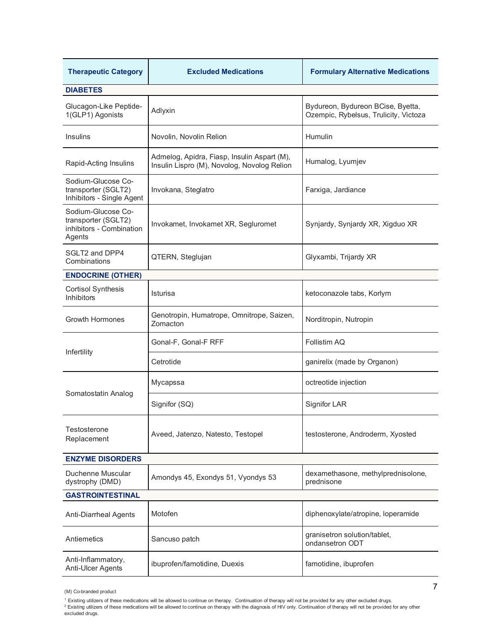| <b>Therapeutic Category</b>                                                     | <b>Excluded Medications</b>                                                                | <b>Formulary Alternative Medications</b>                                   |  |
|---------------------------------------------------------------------------------|--------------------------------------------------------------------------------------------|----------------------------------------------------------------------------|--|
| <b>DIABETES</b>                                                                 |                                                                                            |                                                                            |  |
| Glucagon-Like Peptide-<br>1(GLP1) Agonists                                      | Adlyxin                                                                                    | Bydureon, Bydureon BCise, Byetta,<br>Ozempic, Rybelsus, Trulicity, Victoza |  |
| <b>Insulins</b>                                                                 | Novolin, Novolin Relion                                                                    | Humulin                                                                    |  |
| Rapid-Acting Insulins                                                           | Admelog, Apidra, Fiasp, Insulin Aspart (M),<br>Insulin Lispro (M), Novolog, Novolog Relion | Humalog, Lyumjev                                                           |  |
| Sodium-Glucose Co-<br>transporter (SGLT2)<br>Inhibitors - Single Agent          | Invokana, Steglatro                                                                        | Farxiga, Jardiance                                                         |  |
| Sodium-Glucose Co-<br>transporter (SGLT2)<br>inhibitors - Combination<br>Agents | Invokamet, Invokamet XR, Segluromet                                                        | Synjardy, Synjardy XR, Xigduo XR                                           |  |
| SGLT2 and DPP4<br>Combinations                                                  | QTERN, Steglujan                                                                           | Glyxambi, Trijardy XR                                                      |  |
| <b>ENDOCRINE (OTHER)</b>                                                        |                                                                                            |                                                                            |  |
| <b>Cortisol Synthesis</b><br><b>Inhibitors</b>                                  | Isturisa                                                                                   | ketoconazole tabs, Korlym                                                  |  |
| <b>Growth Hormones</b>                                                          | Genotropin, Humatrope, Omnitrope, Saizen,<br>Zomacton                                      | Norditropin, Nutropin                                                      |  |
| Infertility                                                                     | Gonal-F, Gonal-F RFF                                                                       | Follistim AQ                                                               |  |
|                                                                                 | Cetrotide                                                                                  | ganirelix (made by Organon)                                                |  |
| Somatostatin Analog                                                             | Mycapssa                                                                                   | octreotide injection                                                       |  |
|                                                                                 | Signifor (SQ)                                                                              | <b>Signifor LAR</b>                                                        |  |
| Testosterone<br>Replacement                                                     | Aveed, Jatenzo, Natesto, Testopel                                                          | testosterone, Androderm, Xyosted                                           |  |
| <b>ENZYME DISORDERS</b>                                                         |                                                                                            |                                                                            |  |
| Duchenne Muscular<br>dystrophy (DMD)                                            | Amondys 45, Exondys 51, Vyondys 53                                                         | dexamethasone, methylprednisolone,<br>prednisone                           |  |
| <b>GASTROINTESTINAL</b>                                                         |                                                                                            |                                                                            |  |
| Anti-Diarrheal Agents                                                           | Motofen                                                                                    | diphenoxylate/atropine, loperamide                                         |  |
| Antiemetics                                                                     | Sancuso patch                                                                              | granisetron solution/tablet,<br>ondansetron ODT                            |  |
| Anti-Inflammatory,<br>Anti-Ulcer Agents                                         | ibuprofen/famotidine, Duexis<br>famotidine, ibuprofen                                      |                                                                            |  |

<sup>(</sup>M) Co-branded product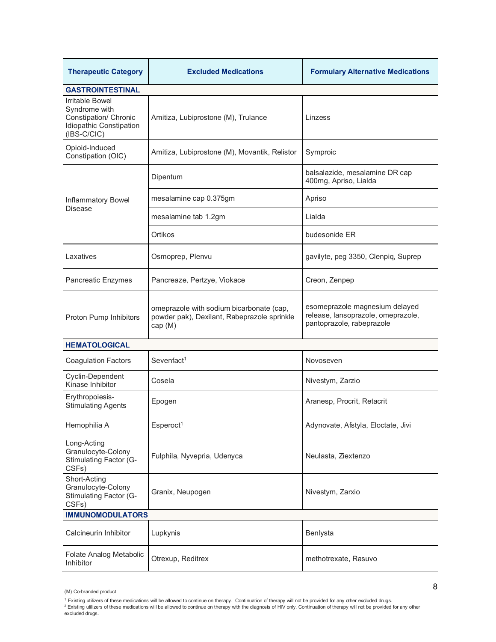| <b>Therapeutic Category</b>                                                                           | <b>Excluded Medications</b>                                                                        | <b>Formulary Alternative Medications</b>                                                          |  |
|-------------------------------------------------------------------------------------------------------|----------------------------------------------------------------------------------------------------|---------------------------------------------------------------------------------------------------|--|
| <b>GASTROINTESTINAL</b>                                                                               |                                                                                                    |                                                                                                   |  |
| Irritable Bowel<br>Syndrome with<br>Constipation/ Chronic<br>Idiopathic Constipation<br>$(IBS-C/ClC)$ | Amitiza, Lubiprostone (M), Trulance                                                                | Linzess                                                                                           |  |
| Opioid-Induced<br>Constipation (OIC)                                                                  | Amitiza, Lubiprostone (M), Movantik, Relistor                                                      | Symproic                                                                                          |  |
|                                                                                                       | Dipentum                                                                                           | balsalazide, mesalamine DR cap<br>400mg, Apriso, Lialda                                           |  |
| Inflammatory Bowel<br>Disease                                                                         | mesalamine cap 0.375gm                                                                             | Apriso                                                                                            |  |
|                                                                                                       | mesalamine tab 1.2gm                                                                               | Lialda                                                                                            |  |
|                                                                                                       | Ortikos                                                                                            | budesonide ER                                                                                     |  |
| Laxatives                                                                                             | Osmoprep, Plenvu                                                                                   | gavilyte, peg 3350, Clenpiq, Suprep                                                               |  |
| <b>Pancreatic Enzymes</b>                                                                             | Pancreaze, Pertzye, Viokace                                                                        | Creon, Zenpep                                                                                     |  |
| Proton Pump Inhibitors                                                                                | omeprazole with sodium bicarbonate (cap,<br>powder pak), Dexilant, Rabeprazole sprinkle<br>cap (M) | esomeprazole magnesium delayed<br>release, lansoprazole, omeprazole,<br>pantoprazole, rabeprazole |  |
| <b>HEMATOLOGICAL</b>                                                                                  |                                                                                                    |                                                                                                   |  |
| <b>Coagulation Factors</b>                                                                            | Sevenfact <sup>1</sup>                                                                             | Novoseven                                                                                         |  |
| Cyclin-Dependent<br>Kinase Inhibitor                                                                  | Cosela                                                                                             | Nivestym, Zarzio                                                                                  |  |
| Erythropoiesis-<br><b>Stimulating Agents</b>                                                          | Epogen                                                                                             | Aranesp, Procrit, Retacrit                                                                        |  |
| Hemophilia A                                                                                          | Esperoct <sup>1</sup>                                                                              | Adynovate, Afstyla, Eloctate, Jivi                                                                |  |
| Long-Acting<br>Granulocyte-Colony<br><b>Stimulating Factor (G-</b><br>CSFs)                           | Fulphila, Nyvepria, Udenyca                                                                        | Neulasta, Ziextenzo                                                                               |  |
| Short-Acting<br>Granulocyte-Colony<br>Stimulating Factor (G-<br>CSFs)                                 | Granix, Neupogen                                                                                   | Nivestym, Zarxio                                                                                  |  |
| <b>IMMUNOMODULATORS</b>                                                                               |                                                                                                    |                                                                                                   |  |
| Calcineurin Inhibitor                                                                                 | Lupkynis                                                                                           | Benlysta                                                                                          |  |
| Folate Analog Metabolic<br>Inhibitor                                                                  | Otrexup, Reditrex                                                                                  | methotrexate, Rasuvo                                                                              |  |

<sup>(</sup>M) Co-branded product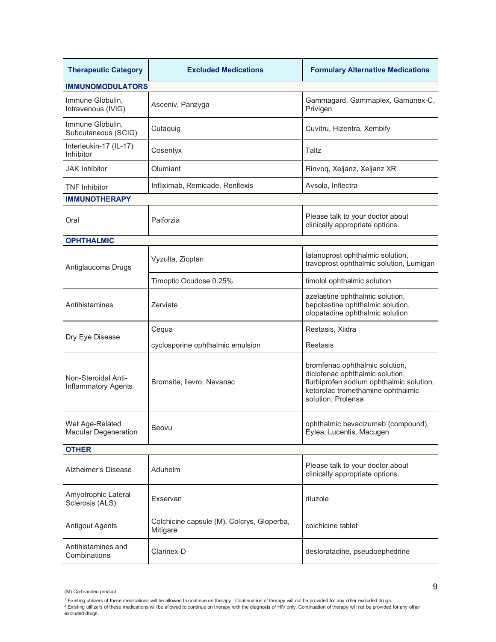| <b>Therapeutic Category</b>                       | <b>Excluded Medications</b>                                                    | <b>Formulary Alternative Medications</b>                                                                                                                                 |  |
|---------------------------------------------------|--------------------------------------------------------------------------------|--------------------------------------------------------------------------------------------------------------------------------------------------------------------------|--|
| <b>IMMUNOMODULATORS</b>                           |                                                                                |                                                                                                                                                                          |  |
| Immune Globulin,<br>Intravenous (IVIG)            | Asceniv, Panzyga                                                               | Gammagard, Gammaplex, Gamunex-C,<br>Privigen                                                                                                                             |  |
| Immune Globulin,<br>Subcutaneous (SCIG)           | Cutaquig                                                                       | Cuvitru, Hizentra, Xembify                                                                                                                                               |  |
| Interleukin-17 (IL-17)<br>Inhibitor               | Cosentyx                                                                       | Taltz                                                                                                                                                                    |  |
| <b>JAK Inhibitor</b>                              | Olumiant                                                                       | Rinvoq, Xeljanz, Xeljanz XR                                                                                                                                              |  |
| <b>TNF Inhibitor</b>                              | Infliximab, Remicade, Renflexis                                                | Avsola, Inflectra                                                                                                                                                        |  |
| <b>IMMUNOTHERAPY</b>                              |                                                                                |                                                                                                                                                                          |  |
| Oral                                              | Palforzia                                                                      | Please talk to your doctor about<br>clinically appropriate options.                                                                                                      |  |
| <b>OPHTHALMIC</b>                                 |                                                                                |                                                                                                                                                                          |  |
| Antiglaucoma Drugs                                | Vyzulta, Zioptan                                                               | latanoprost ophthalmic solution,<br>travoprost ophthalmic solution, Lumigan                                                                                              |  |
|                                                   | Timoptic Ocudose 0.25%                                                         | timolol ophthalmic solution                                                                                                                                              |  |
| Antihistamines                                    | Zerviate                                                                       | azelastine ophthalmic solution,<br>bepotastine ophthalmic solution,<br>olopatadine ophthalmic solution                                                                   |  |
| Dry Eye Disease                                   | Cequa                                                                          | Restasis, Xiidra                                                                                                                                                         |  |
|                                                   | cyclosporine ophthalmic emulsion                                               | Restasis                                                                                                                                                                 |  |
| Non-Steroidal Anti-<br><b>Inflammatory Agents</b> | Bromsite, Ilevro, Nevanac                                                      | bromfenac ophthalmic solution,<br>diclofenac ophthalmic solution,<br>flurbiprofen sodium ophthalmic solution,<br>ketorolac tromethamine ophthalmic<br>solution, Prolensa |  |
| Wet Age-Related<br><b>Macular Degeneration</b>    | Beovu                                                                          | ophthalmic bevacizumab (compound),<br>Eylea, Lucentis, Macugen                                                                                                           |  |
| <b>OTHER</b>                                      |                                                                                |                                                                                                                                                                          |  |
| Alzheimer's Disease                               | Please talk to your doctor about<br>Aduhelm<br>clinically appropriate options. |                                                                                                                                                                          |  |
| Amyotrophic Lateral<br>Sclerosis (ALS)            | Exservan                                                                       | riluzole                                                                                                                                                                 |  |
| <b>Antigout Agents</b>                            | Colchicine capsule (M), Colcrys, Gloperba,<br>Mitigare                         | colchicine tablet                                                                                                                                                        |  |
| Antihistamines and<br>Combinations                | Clarinex-D                                                                     | desloratadine, pseudoephedrine                                                                                                                                           |  |

<sup>(</sup>M) Co-branded product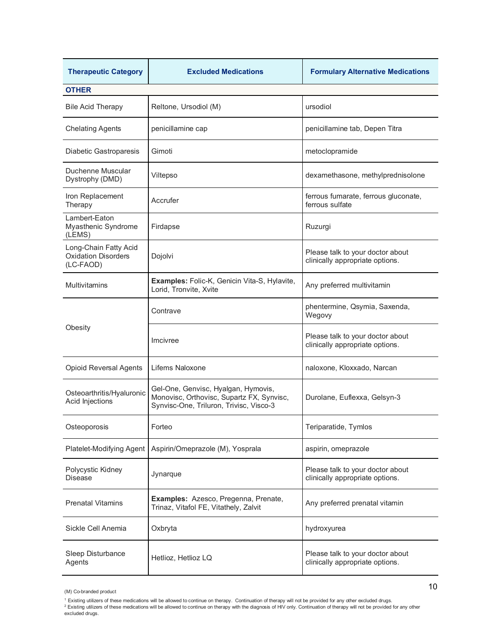| <b>Therapeutic Category</b>                                      | <b>Excluded Medications</b>                                                                                                 | <b>Formulary Alternative Medications</b>                            |  |
|------------------------------------------------------------------|-----------------------------------------------------------------------------------------------------------------------------|---------------------------------------------------------------------|--|
| <b>OTHER</b>                                                     |                                                                                                                             |                                                                     |  |
| <b>Bile Acid Therapy</b>                                         | Reltone, Ursodiol (M)                                                                                                       | ursodiol                                                            |  |
| <b>Chelating Agents</b>                                          | penicillamine cap                                                                                                           | penicillamine tab, Depen Titra                                      |  |
| Diabetic Gastroparesis                                           | Gimoti                                                                                                                      | metoclopramide                                                      |  |
| Duchenne Muscular<br>Dystrophy (DMD)                             | Viltepso                                                                                                                    | dexamethasone, methylprednisolone                                   |  |
| Iron Replacement<br>Therapy                                      | Accrufer                                                                                                                    | ferrous fumarate, ferrous gluconate,<br>ferrous sulfate             |  |
| Lambert-Eaton<br>Myasthenic Syndrome<br>(LEMS)                   | Firdapse                                                                                                                    | Ruzurgi                                                             |  |
| Long-Chain Fatty Acid<br><b>Oxidation Disorders</b><br>(LC-FAOD) | Dojolvi                                                                                                                     | Please talk to your doctor about<br>clinically appropriate options. |  |
| <b>Multivitamins</b>                                             | Examples: Folic-K, Genicin Vita-S, Hylavite,<br>Lorid, Tronvite, Xvite                                                      | Any preferred multivitamin                                          |  |
| Obesity                                                          | Contrave                                                                                                                    | phentermine, Qsymia, Saxenda,<br>Wegovy                             |  |
|                                                                  | Imcivree                                                                                                                    | Please talk to your doctor about<br>clinically appropriate options. |  |
| <b>Opioid Reversal Agents</b>                                    | Lifems Naloxone                                                                                                             | naloxone, Kloxxado, Narcan                                          |  |
| Osteoarthritis/Hyaluronic<br>Acid Injections                     | Gel-One, Genvisc, Hyalgan, Hymovis,<br>Monovisc, Orthovisc, Supartz FX, Synvisc,<br>Synvisc-One, Triluron, Trivisc, Visco-3 | Durolane, Euflexxa, Gelsyn-3                                        |  |
| Osteoporosis                                                     | Forteo                                                                                                                      | Teriparatide, Tymlos                                                |  |
| Platelet-Modifying Agent                                         | Aspirin/Omeprazole (M), Yosprala                                                                                            | aspirin, omeprazole                                                 |  |
| Polycystic Kidney<br><b>Disease</b>                              | Jynarque                                                                                                                    | Please talk to your doctor about<br>clinically appropriate options. |  |
| <b>Prenatal Vitamins</b>                                         | Examples: Azesco, Pregenna, Prenate,<br>Any preferred prenatal vitamin<br>Trinaz, Vitafol FE, Vitathely, Zalvit             |                                                                     |  |
| Sickle Cell Anemia                                               | Oxbryta                                                                                                                     | hydroxyurea                                                         |  |
| Sleep Disturbance<br>Agents                                      | Hetlioz, Hetlioz LQ                                                                                                         | Please talk to your doctor about<br>clinically appropriate options. |  |

<sup>(</sup>M) Co-branded product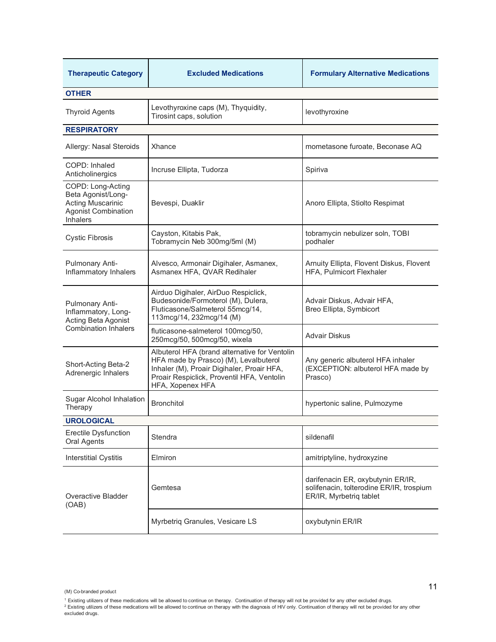| <b>Therapeutic Category</b>                                                                                                                                                                                                                          | <b>Excluded Medications</b>                                                                                                                | <b>Formulary Alternative Medications</b>                                                                 |  |
|------------------------------------------------------------------------------------------------------------------------------------------------------------------------------------------------------------------------------------------------------|--------------------------------------------------------------------------------------------------------------------------------------------|----------------------------------------------------------------------------------------------------------|--|
| <b>OTHER</b>                                                                                                                                                                                                                                         |                                                                                                                                            |                                                                                                          |  |
| <b>Thyroid Agents</b>                                                                                                                                                                                                                                | Levothyroxine caps (M), Thyquidity,<br>Tirosint caps, solution                                                                             | levothyroxine                                                                                            |  |
| <b>RESPIRATORY</b>                                                                                                                                                                                                                                   |                                                                                                                                            |                                                                                                          |  |
| Allergy: Nasal Steroids                                                                                                                                                                                                                              | Xhance                                                                                                                                     | mometasone furoate, Beconase AQ                                                                          |  |
| COPD: Inhaled<br>Anticholinergics                                                                                                                                                                                                                    | Incruse Ellipta, Tudorza                                                                                                                   | Spiriva                                                                                                  |  |
| COPD: Long-Acting<br>Beta Agonist/Long-<br><b>Acting Muscarinic</b><br><b>Agonist Combination</b><br><b>Inhalers</b>                                                                                                                                 | Bevespi, Duaklir                                                                                                                           | Anoro Ellipta, Stiolto Respimat                                                                          |  |
| <b>Cystic Fibrosis</b>                                                                                                                                                                                                                               | Cayston, Kitabis Pak,<br>Tobramycin Neb 300mg/5ml (M)                                                                                      | tobramycin nebulizer soln, TOBI<br>podhaler                                                              |  |
| Pulmonary Anti-<br>Inflammatory Inhalers                                                                                                                                                                                                             | Alvesco, Armonair Digihaler, Asmanex,<br>Asmanex HFA, QVAR Redihaler                                                                       | Arnuity Ellipta, Flovent Diskus, Flovent<br><b>HFA, Pulmicort Flexhaler</b>                              |  |
| Pulmonary Anti-<br>Inflammatory, Long-<br>Acting Beta Agonist<br><b>Combination Inhalers</b>                                                                                                                                                         | Airduo Digihaler, AirDuo Respiclick,<br>Budesonide/Formoterol (M), Dulera,<br>Fluticasone/Salmeterol 55mcg/14,<br>113mcg/14, 232mcg/14 (M) | Advair Diskus, Advair HFA,<br>Breo Ellipta, Symbicort                                                    |  |
|                                                                                                                                                                                                                                                      | fluticasone-salmeterol 100mcg/50,<br>250mcg/50, 500mcg/50, wixela                                                                          | <b>Advair Diskus</b>                                                                                     |  |
| Albuterol HFA (brand alternative for Ventolin<br>HFA made by Prasco) (M), Levalbuterol<br>Short-Acting Beta-2<br>Inhaler (M), Proair Digihaler, Proair HFA,<br>Adrenergic Inhalers<br>Proair Respiclick, Proventil HFA, Ventolin<br>HFA, Xopenex HFA |                                                                                                                                            | Any generic albuterol HFA inhaler<br>(EXCEPTION: albuterol HFA made by<br>Prasco)                        |  |
| Sugar Alcohol Inhalation<br>Therapy                                                                                                                                                                                                                  | <b>Bronchitol</b>                                                                                                                          | hypertonic saline, Pulmozyme                                                                             |  |
| <b>UROLOGICAL</b>                                                                                                                                                                                                                                    |                                                                                                                                            |                                                                                                          |  |
| <b>Erectile Dysfunction</b><br>Oral Agents                                                                                                                                                                                                           | Stendra                                                                                                                                    | sildenafil                                                                                               |  |
| <b>Interstitial Cystitis</b>                                                                                                                                                                                                                         | Elmiron                                                                                                                                    | amitriptyline, hydroxyzine                                                                               |  |
| <b>Overactive Bladder</b><br>(OAB)                                                                                                                                                                                                                   | Gemtesa                                                                                                                                    | darifenacin ER, oxybutynin ER/IR,<br>solifenacin, tolterodine ER/IR, trospium<br>ER/IR, Myrbetrig tablet |  |
|                                                                                                                                                                                                                                                      | Myrbetriq Granules, Vesicare LS                                                                                                            | oxybutynin ER/IR                                                                                         |  |

<sup>(</sup>M) Co-branded product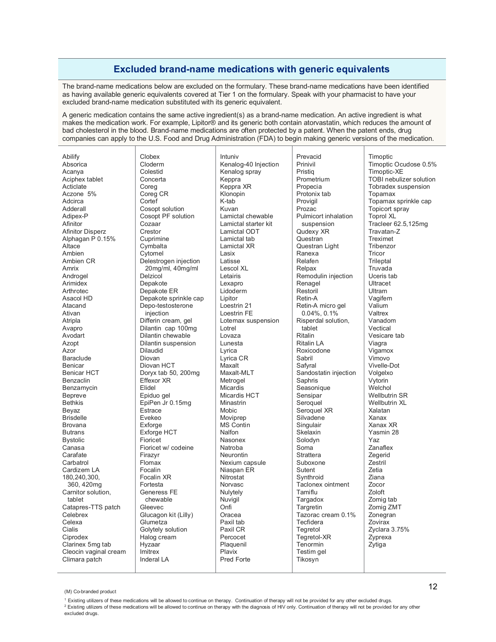## **Excluded brand-name medications with generic equivalents**

The brand-name medications below are excluded on the formulary. These brand-name medications have been identified as having available generic equivalents covered at Tier 1 on the formulary. Speak with your pharmacist to have your excluded brand-name medication substituted with its generic equivalent.

A generic medication contains the same active ingredient(s) as a brand-name medication. An active ingredient is what makes the medication work. For example, Lipitor® and its generic both contain atorvastatin, which reduces the amount of bad cholesterol in the blood. Brand-name medications are often protected by a patent. When the patent ends, drug companies can apply to the U.S. Food and Drug Administration (FDA) to begin making generic versions of the medication.

| Abilify                 | Clobex                | Intuniv              | Prevacid              | Timoptic                |
|-------------------------|-----------------------|----------------------|-----------------------|-------------------------|
| Absorica                | Cloderm               | Kenalog-40 Injection | Prinivil              | Timoptic Ocudose 0.5%   |
| Acanya                  | Colestid              | Kenalog spray        | Pristig               | Timoptic-XE             |
| Aciphex tablet          | Concerta              | Keppra               | Prometrium            | TOBI nebulizer solution |
| Acticlate               | Coreg                 | Keppra XR            | Propecia              | Tobradex suspension     |
| Aczone 5%               | Coreg CR              | Klonopin             | Protonix tab          | Topamax                 |
| Adcirca                 | Cortef                | K-tab                | Provigil              | Topamax sprinkle cap    |
| Adderall                | Cosopt solution       | Kuvan                | Prozac                | Topicort spray          |
| Adipex-P                | Cosopt PF solution    | Lamictal chewable    | Pulmicort inhalation  | <b>Toprol XL</b>        |
| Afinitor                | Cozaar                | Lamictal starter kit | suspension            | Tracleer 62.5,125mg     |
| <b>Afinitor Disperz</b> | Crestor               | Lamictal ODT         | Qudexy XR             | Travatan-Z              |
| Alphagan P 0.15%        | Cuprimine             | Lamictal tab         | Questran              | Treximet                |
| Altace                  | Cymbalta              | Lamictal XR          | Questran Light        | Tribenzor               |
| Ambien                  | Cytomel               | Lasix                | Ranexa                | Tricor                  |
| Ambien CR               | Delestrogen injection | Latisse              | Relafen               | Trileptal               |
| Amrix                   | 20mg/ml, 40mg/ml      | Lescol XL            | Relpax                | Truvada                 |
| Androgel                | Delzicol              | Letairis             | Remodulin injection   | Uceris tab              |
| Arimidex                | Depakote              | Lexapro              | Renagel               | Ultracet                |
| Arthrotec               | Depakote ER           | Lidoderm             | Restoril              | Ultram                  |
| Asacol HD               | Depakote sprinkle cap | Lipitor              | Retin-A               | Vagifem                 |
| Atacand                 | Depo-testosterone     | Loestrin 21          | Retin-A micro gel     | Valium                  |
| Ativan                  | injection             | Loestrin FE          | $0.04\%$ , $0.1\%$    | Valtrex                 |
| Atripla                 | Differin cream, gel   | Lotemax suspension   | Risperdal solution,   | Vanadom                 |
| Avapro                  | Dilantin cap 100mg    | Lotrel               | tablet                | Vectical                |
| Avodart                 | Dilantin chewable     | Lovaza               | <b>Ritalin</b>        | Vesicare tab            |
| Azopt                   | Dilantin suspension   | Lunesta              | <b>Ritalin LA</b>     | Viagra                  |
| Azor                    | <b>Dilaudid</b>       | Lyrica               | Roxicodone            | Vigamox                 |
| <b>Baraclude</b>        | Diovan                | Lyrica CR            | Sabril                | Vimovo                  |
| <b>Benicar</b>          | Diovan HCT            | Maxalt               | Safyral               | Vivelle-Dot             |
| <b>Benicar HCT</b>      | Doryx tab 50, 200mg   | Maxalt-MLT           | Sandostatin injection | Volgelxo                |
| Benzaclin               | Effexor XR            | Metrogel             | Saphris               | Vytorin                 |
| Benzamycin              | Elidel                | <b>Micardis</b>      | Seasonique            | Welchol                 |
| Bepreve                 | Epiduo gel            | Micardis HCT         | Sensipar              | <b>Wellbutrin SR</b>    |
| <b>Bethkis</b>          | EpiPen Jr 0.15mg      | Minastrin            | Seroquel              | <b>Wellbutrin XL</b>    |
| Beyaz                   | Estrace               | Mobic                | Seroquel XR           | Xalatan                 |
| <b>Brisdelle</b>        | Evekeo                | Moviprep             | Silvadene             | Xanax                   |
| <b>Brovana</b>          | Exforge               | <b>MS Contin</b>     | Singulair             | Xanax XR                |
| <b>Butrans</b>          | Exforge HCT           | Nalfon               | Skelaxin              | Yasmin 28               |
| <b>Bystolic</b>         | Fioricet              | Nasonex              | Solodyn               | Yaz                     |
| Canasa                  | Fioricet w/ codeine   | Natroba              | Soma                  | Zanaflex                |
| Carafate                | Firazyr               | Neurontin            | Strattera             | Zegerid                 |
| Carbatrol               | Flomax                | Nexium capsule       | Suboxone              | Zestril                 |
| Cardizem LA             | Focalin               | Niaspan ER           | Sutent                | Zetia                   |
| 180,240,300,            | Focalin XR            | Nitrostat            | Synthroid             | Ziana                   |
| 360, 420mg              | Fortesta              | <b>Norvasc</b>       | Taclonex ointment     | Zocor                   |
| Carnitor solution,      | Generess FE           | Nulytely             | Tamiflu               | Zoloft                  |
| tablet                  | chewable              | Nuvigil              | Targadox              | Zomig tab               |
| Catapres-TTS patch      | Gleevec               | Onfi                 | Targretin             | Zomig ZMT               |
| Celebrex                | Glucagon kit (Lilly)  | Oracea               | Tazorac cream 0.1%    | Zonegran                |
| Celexa                  | Glumetza              | Paxil tab            | Tecfidera             | Zovirax                 |
| Cialis                  | Golytely solution     | Paxil CR             | Tegretol              | Zyclara 3.75%           |
| Ciprodex                | Halog cream           | Percocet             | Tegretol-XR           | Zyprexa                 |
| Clarinex 5mg tab        | Hyzaar                | Plaquenil            | Tenormin              | Zytiga                  |
| Cleocin vaginal cream   | Imitrex               | Plavix               | Testim gel            |                         |
| Climara patch           | <b>Inderal LA</b>     | <b>Pred Forte</b>    | Tikosyn               |                         |
|                         |                       |                      |                       |                         |

<sup>(</sup>M) Co-branded product